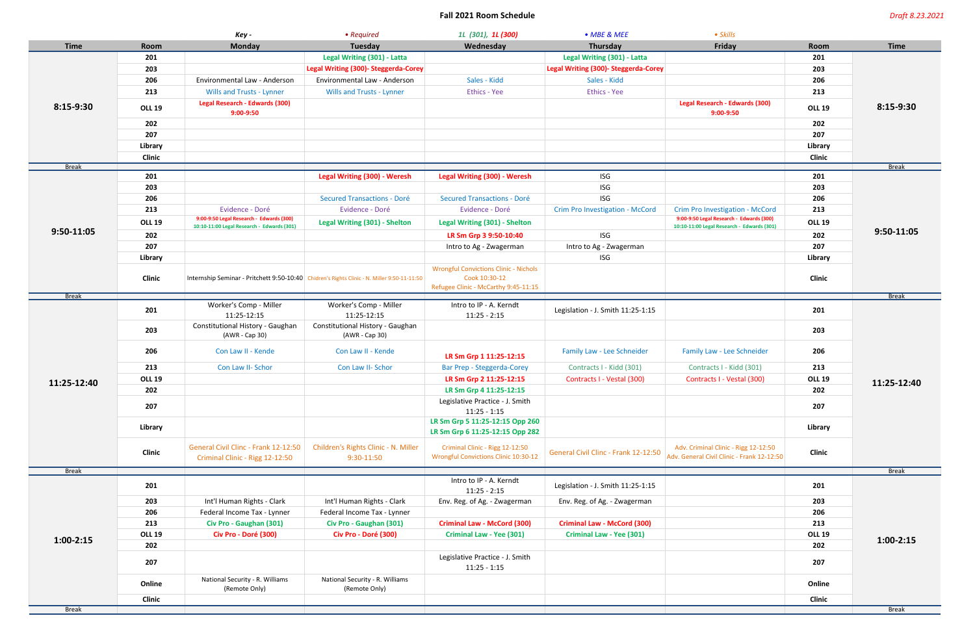## **Fall 2021 Room Schedule** *Draft 8.23.2021*

|              |                | Key -                                                                   | • Required                                                                                  | 11 (301), 11 (300)                                                             | • MBE & MEE                          | • Skills                                                                           |               |              |
|--------------|----------------|-------------------------------------------------------------------------|---------------------------------------------------------------------------------------------|--------------------------------------------------------------------------------|--------------------------------------|------------------------------------------------------------------------------------|---------------|--------------|
| <b>Time</b>  | Room           | <b>Monday</b>                                                           | Tuesday                                                                                     | Wednesday                                                                      | Thursday                             | Friday                                                                             | Room          | <b>Time</b>  |
| 8:15-9:30    | 201            |                                                                         | Legal Writing (301) - Latta                                                                 |                                                                                | Legal Writing (301) - Latta          |                                                                                    | 201           | 8:15-9:30    |
|              | 203            |                                                                         | Legal Writing (300)- Steggerda-Corey                                                        |                                                                                | Legal Writing (300)- Steggerda-Corey |                                                                                    | 203           |              |
|              | 206            | Environmental Law - Anderson                                            | Environmental Law - Anderson                                                                | Sales - Kidd                                                                   | Sales - Kidd                         |                                                                                    | 206           |              |
|              | 213            | <b>Wills and Trusts - Lynner</b>                                        | <b>Wills and Trusts - Lynner</b>                                                            | Ethics - Yee                                                                   | <b>Ethics - Yee</b>                  |                                                                                    | 213           |              |
|              | <b>OLL 19</b>  | Legal Research - Edwards (300)<br>$9:00 - 9:50$                         |                                                                                             |                                                                                |                                      | <b>Legal Research - Edwards (300)</b><br>$9:00-9:50$                               | <b>OLL 19</b> |              |
|              | 202            |                                                                         |                                                                                             |                                                                                |                                      |                                                                                    | 202           |              |
|              | 207            |                                                                         |                                                                                             |                                                                                |                                      |                                                                                    | 207           |              |
|              | <b>Library</b> |                                                                         |                                                                                             |                                                                                |                                      |                                                                                    | Library       |              |
|              | <b>Clinic</b>  |                                                                         |                                                                                             |                                                                                |                                      |                                                                                    | <b>Clinic</b> |              |
| <b>Break</b> |                |                                                                         |                                                                                             |                                                                                |                                      |                                                                                    |               | <b>Break</b> |
|              | 201            |                                                                         | <b>Legal Writing (300) - Weresh</b>                                                         | <b>Legal Writing (300) - Weresh</b>                                            | <b>ISG</b>                           |                                                                                    | 201           | 9:50-11:05   |
|              | 203            |                                                                         |                                                                                             |                                                                                | <b>ISG</b>                           |                                                                                    | 203           |              |
|              | 206            |                                                                         | <b>Secured Transactions - Doré</b>                                                          | <b>Secured Transactions - Doré</b>                                             | <b>ISG</b>                           |                                                                                    | 206           |              |
|              | 213            | Evidence - Doré<br>9:00-9:50 Legal Research - Edwards (300)             | Evidence - Doré                                                                             | Evidence - Doré                                                                | Crim Pro Investigation - McCord      | Crim Pro Investigation - McCord<br>9:00-9:50 Legal Research - Edwards (300)        | 213           |              |
|              | <b>OLL 19</b>  | 10:10-11:00 Legal Research - Edwards (301)                              | <b>Legal Writing (301) - Shelton</b>                                                        | Legal Writing (301) - Shelton                                                  |                                      | 10:10-11:00 Legal Research - Edwards (301)                                         | <b>OLL 19</b> |              |
| 9:50-11:05   | 202            |                                                                         |                                                                                             | LR Sm Grp 3 9:50-10:40                                                         | <b>ISG</b>                           |                                                                                    | 202           |              |
|              | 207            |                                                                         |                                                                                             | Intro to Ag - Zwagerman                                                        | Intro to Ag - Zwagerman              |                                                                                    | 207           |              |
|              | Library        |                                                                         |                                                                                             |                                                                                | <b>ISG</b>                           |                                                                                    | Library       |              |
|              | <b>Clinic</b>  |                                                                         | Internship Seminar - Pritchett 9:50-10:40 Chidren's Rights Clinic - N. Miller 9:50-11-11:50 | <b>Wrongful Convictions Clinic - Nichols</b><br>Cook 10:30-12                  |                                      |                                                                                    | <b>Clinic</b> |              |
|              |                |                                                                         |                                                                                             | Refugee Clinic - McCarthy 9:45-11:15                                           |                                      |                                                                                    |               |              |
| <b>Break</b> |                | Worker's Comp - Miller                                                  | Worker's Comp - Miller                                                                      | Intro to IP - A. Kerndt                                                        |                                      |                                                                                    |               | <b>Break</b> |
|              | 201            | 11:25-12:15                                                             | 11:25-12:15                                                                                 | $11:25 - 2:15$                                                                 | Legislation - J. Smith 11:25-1:15    |                                                                                    | 201           | 11:25-12:40  |
|              | 203            | Constitutional History - Gaughan<br>(AWR - Cap 30)                      | Constitutional History - Gaughan<br>(AWR - Cap 30)                                          |                                                                                |                                      |                                                                                    | 203           |              |
|              | 206            | Con Law II - Kende                                                      | Con Law II - Kende                                                                          | LR Sm Grp 1 11:25-12:15                                                        | Family Law - Lee Schneider           | Family Law - Lee Schneider                                                         | 206           |              |
|              | 213            | Con Law II- Schor                                                       | Con Law II- Schor                                                                           | Bar Prep - Steggerda-Corey                                                     | Contracts I - Kidd (301)             | Contracts I - Kidd (301)                                                           | 213           |              |
| 11:25-12:40  | <b>OLL 19</b>  |                                                                         |                                                                                             | LR Sm Grp 2 11:25-12:15                                                        | Contracts I - Vestal (300)           | Contracts I - Vestal (300)                                                         | <b>OLL 19</b> |              |
|              | 202            |                                                                         |                                                                                             | LR Sm Grp 4 11:25-12:15                                                        |                                      |                                                                                    | 202           |              |
|              | 207            |                                                                         |                                                                                             | Legislative Practice - J. Smith<br>$11:25 - 1:15$                              |                                      |                                                                                    | 207           |              |
|              | Library        |                                                                         |                                                                                             | LR Sm Grp 5 11:25-12:15 Opp 260<br>LR Sm Grp 6 11:25-12:15 Opp 282             |                                      |                                                                                    | Library       |              |
|              | <b>Clinic</b>  | General Civil Clinc - Frank 12-12:50<br>Criminal Clinic - Rigg 12-12:50 | Children's Rights Clinic - N. Miller<br>$9:30-11:50$                                        | Criminal Clinic - Rigg 12-12:50<br><b>Wrongful Convictions Clinic 10:30-12</b> | General Civil Clinc - Frank 12-12:50 | Adv. Criminal Clinic - Rigg 12-12:50<br>Adv. General Civil Clinic - Frank 12-12:50 | <b>Clinic</b> |              |
| <b>Break</b> |                |                                                                         |                                                                                             |                                                                                |                                      |                                                                                    |               | <b>Break</b> |
|              | 201            |                                                                         |                                                                                             | Intro to IP - A. Kerndt<br>$11:25 - 2:15$                                      | Legislation - J. Smith 11:25-1:15    |                                                                                    | 201           | $1:00-2:15$  |
|              | 203            | Int'l Human Rights - Clark                                              | Int'l Human Rights - Clark                                                                  | Env. Reg. of Ag. - Zwagerman                                                   | Env. Reg. of Ag. - Zwagerman         |                                                                                    | 203           |              |
|              | 206            | Federal Income Tax - Lynner                                             | Federal Income Tax - Lynner                                                                 |                                                                                |                                      |                                                                                    | 206           |              |
| $1:00-2:15$  | 213            | Civ Pro - Gaughan (301)                                                 | Civ Pro - Gaughan (301)                                                                     | <b>Criminal Law - McCord (300)</b>                                             | <b>Criminal Law - McCord (300)</b>   |                                                                                    | 213           |              |
|              | <b>OLL 19</b>  | Civ Pro - Doré (300)                                                    | Civ Pro - Doré (300)                                                                        | <b>Criminal Law - Yee (301)</b>                                                | <b>Criminal Law - Yee (301)</b>      |                                                                                    | <b>OLL 19</b> |              |
|              | 202            |                                                                         |                                                                                             |                                                                                |                                      |                                                                                    | 202           |              |
|              | 207            |                                                                         |                                                                                             | Legislative Practice - J. Smith<br>$11:25 - 1:15$                              |                                      |                                                                                    | 207           |              |
|              | Online         | National Security - R. Williams<br>(Remote Only)                        | National Security - R. Williams<br>(Remote Only)                                            |                                                                                |                                      |                                                                                    | Online        |              |
|              | Clinic         |                                                                         |                                                                                             |                                                                                |                                      |                                                                                    | <b>Clinic</b> |              |
| <b>Break</b> |                |                                                                         |                                                                                             |                                                                                |                                      |                                                                                    |               | <b>Break</b> |